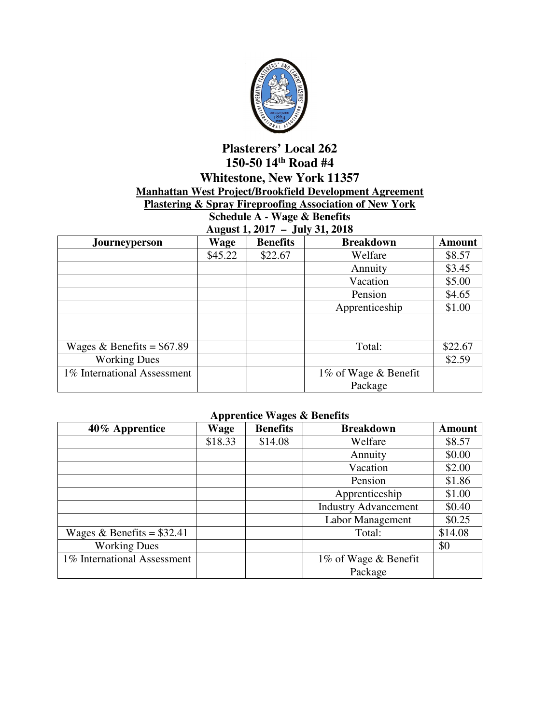

## **Plasterers' Local 262 150-50 14th Road #4 Whitestone, New York 11357 Manhattan West Project/Brookfield Development Agreement**

## **Plastering & Spray Fireproofing Association of New York**

**Schedule A - Wage & Benefits August 1, 2017 – July 31, 2018** 

| $1.14$ $\mu$<br>0.41, 0.1, 0.10 |         |                 |                      |               |  |
|---------------------------------|---------|-----------------|----------------------|---------------|--|
| Journeyperson                   | Wage    | <b>Benefits</b> | <b>Breakdown</b>     | <b>Amount</b> |  |
|                                 | \$45.22 | \$22.67         | Welfare              | \$8.57        |  |
|                                 |         |                 | Annuity              | \$3.45        |  |
|                                 |         |                 | Vacation             | \$5.00        |  |
|                                 |         |                 | Pension              | \$4.65        |  |
|                                 |         |                 | Apprenticeship       | \$1.00        |  |
|                                 |         |                 |                      |               |  |
|                                 |         |                 |                      |               |  |
| Wages & Benefits = $$67.89$     |         |                 | Total:               | \$22.67       |  |
| <b>Working Dues</b>             |         |                 |                      | \$2.59        |  |
| 1% International Assessment     |         |                 | 1% of Wage & Benefit |               |  |
|                                 |         |                 | Package              |               |  |

## **Apprentice Wages & Benefits**

| 40% Apprentice              | Wage    | <b>Benefits</b> | <b>Breakdown</b>            | <b>Amount</b> |
|-----------------------------|---------|-----------------|-----------------------------|---------------|
|                             | \$18.33 | \$14.08         | Welfare                     | \$8.57        |
|                             |         |                 | Annuity                     | \$0.00        |
|                             |         |                 | Vacation                    | \$2.00        |
|                             |         |                 | Pension                     | \$1.86        |
|                             |         |                 | Apprenticeship              | \$1.00        |
|                             |         |                 | <b>Industry Advancement</b> | \$0.40        |
|                             |         |                 | Labor Management            | \$0.25        |
| Wages & Benefits = $$32.41$ |         |                 | Total:                      | \$14.08       |
| <b>Working Dues</b>         |         |                 |                             | \$0           |
| 1% International Assessment |         |                 | 1% of Wage & Benefit        |               |
|                             |         |                 | Package                     |               |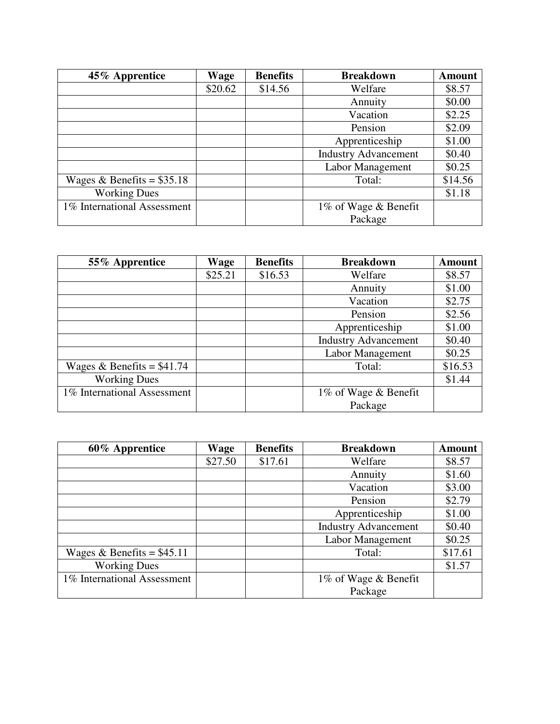| 45% Apprentice              | Wage    | <b>Benefits</b> | <b>Breakdown</b>            | <b>Amount</b> |
|-----------------------------|---------|-----------------|-----------------------------|---------------|
|                             | \$20.62 | \$14.56         | Welfare                     | \$8.57        |
|                             |         |                 | Annuity                     | \$0.00        |
|                             |         |                 | Vacation                    | \$2.25        |
|                             |         |                 | Pension                     | \$2.09        |
|                             |         |                 | Apprenticeship              | \$1.00        |
|                             |         |                 | <b>Industry Advancement</b> | \$0.40        |
|                             |         |                 | Labor Management            | \$0.25        |
| Wages & Benefits = $$35.18$ |         |                 | Total:                      | \$14.56       |
| <b>Working Dues</b>         |         |                 |                             | \$1.18        |
| 1% International Assessment |         |                 | 1% of Wage & Benefit        |               |
|                             |         |                 | Package                     |               |

| 55% Apprentice              | Wage    | <b>Benefits</b> | <b>Breakdown</b>            | <b>Amount</b> |
|-----------------------------|---------|-----------------|-----------------------------|---------------|
|                             | \$25.21 | \$16.53         | Welfare                     | \$8.57        |
|                             |         |                 | Annuity                     | \$1.00        |
|                             |         |                 | Vacation                    | \$2.75        |
|                             |         |                 | Pension                     | \$2.56        |
|                             |         |                 | Apprenticeship              | \$1.00        |
|                             |         |                 | <b>Industry Advancement</b> | \$0.40        |
|                             |         |                 | Labor Management            | \$0.25        |
| Wages & Benefits = $$41.74$ |         |                 | Total:                      | \$16.53       |
| <b>Working Dues</b>         |         |                 |                             | \$1.44        |
| 1% International Assessment |         |                 | 1% of Wage & Benefit        |               |
|                             |         |                 | Package                     |               |

| 60% Apprentice              | Wage    | <b>Benefits</b> | <b>Breakdown</b>            | <b>Amount</b> |
|-----------------------------|---------|-----------------|-----------------------------|---------------|
|                             | \$27.50 | \$17.61         | Welfare                     | \$8.57        |
|                             |         |                 | Annuity                     | \$1.60        |
|                             |         |                 | Vacation                    | \$3.00        |
|                             |         |                 | Pension                     | \$2.79        |
|                             |         |                 | Apprenticeship              | \$1.00        |
|                             |         |                 | <b>Industry Advancement</b> | \$0.40        |
|                             |         |                 | Labor Management            | \$0.25        |
| Wages & Benefits = $$45.11$ |         |                 | Total:                      | \$17.61       |
| <b>Working Dues</b>         |         |                 |                             | \$1.57        |
| 1% International Assessment |         |                 | 1% of Wage & Benefit        |               |
|                             |         |                 | Package                     |               |